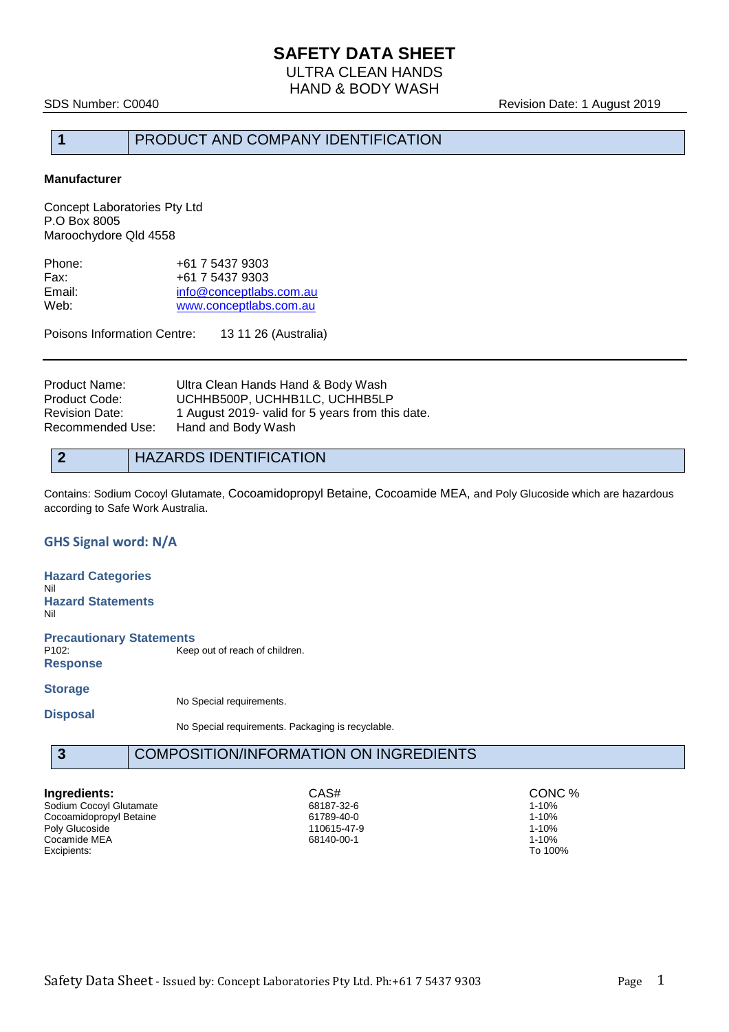HAND & BODY WASH

SDS Number: C0040 **Revision Date: 1 August 2019** 

### **1** PRODUCT AND COMPANY IDENTIFICATION

#### **Manufacturer**

Concept Laboratories Pty Ltd P.O Box 8005 Maroochydore Qld 4558

| +61 7 5437 9303         |
|-------------------------|
| +61 7 5437 9303         |
| info@conceptlabs.com.au |
| www.conceptlabs.com.au  |
|                         |

Poisons Information Centre: 13 11 26 (Australia)

| Product Name:    | Ultra Clean Hands Hand & Body Wash               |
|------------------|--------------------------------------------------|
| Product Code:    | UCHHB500P, UCHHB1LC, UCHHB5LP                    |
| Revision Date:   | 1 August 2019- valid for 5 years from this date. |
| Recommended Use: | Hand and Body Wash                               |
|                  |                                                  |

#### **2** HAZARDS IDENTIFICATION

Contains: Sodium Cocoyl Glutamate, Cocoamidopropyl Betaine, Cocoamide MEA, and Poly Glucoside which are hazardous according to Safe Work Australia.

#### **GHS Signal word: N/A**

**Hazard Categories** Nil **Hazard Statements** Nil **Precautionary Statements** Keep out of reach of children. **Response Storage** No Special requirements.

**Disposal**

No Special requirements. Packaging is recyclable.

#### **3** COMPOSITION/INFORMATION ON INGREDIENTS

Sodium Cocoyl Glutamate<br>Cocoamidopropyl Betaine 1980 1980 1989-40-0 Cocoamidopropyl Betaine 1-10% and the cocoamidopropyl Betaine 1-10% and the cocoamidopropyl Betaine 1-10% and the coco<br>Poly Glucoside 1106/6-17-9 1-10% and the cocoamidopropyle in the cocoamidopropyle for the cocoamidoprop Poly Glucoside 110615-47-9 1-10% 110615-47-9 1-10% 110615-47-9 1-10% 110615-47-9 1-10% 1-10% 1-10% 1-10% 1-10% Cocamide MEA 68140-00-1 68140-00-1 68140-00-1 1-10%<br>Excipients: To 100% Excipients: To 100%

**Ingredients:** CAS# CONC % CASH CONC % Sodium Cocoyl Glutamate **CONC %** 68187-32-6 69187-32-6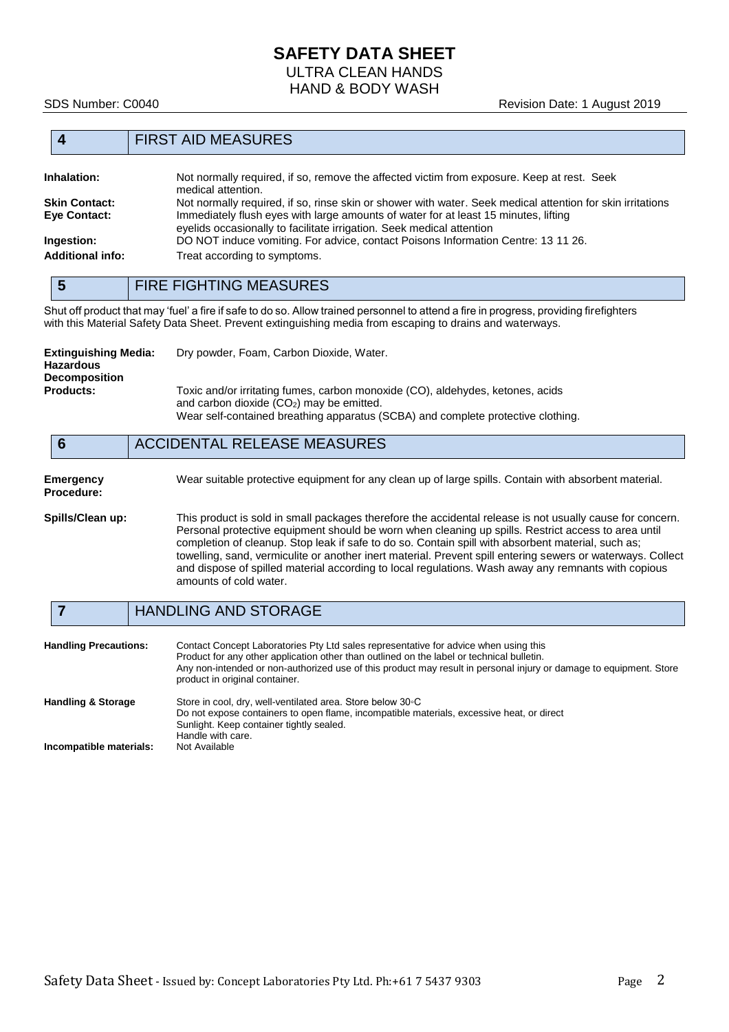## **SAFETY DATA SHEET** ULTRA CLEAN HANDS

HAND & BODY WASH

#### **4** FIRST AID MEASURES

| Inhalation:             | Not normally required, if so, remove the affected victim from exposure. Keep at rest. Seek<br>medical attention.                                             |
|-------------------------|--------------------------------------------------------------------------------------------------------------------------------------------------------------|
| <b>Skin Contact:</b>    | Not normally required, if so, rinse skin or shower with water. Seek medical attention for skin irritations                                                   |
| Eye Contact:            | Immediately flush eyes with large amounts of water for at least 15 minutes, lifting<br>eyelids occasionally to facilitate irrigation. Seek medical attention |
| Ingestion:              | DO NOT induce vomiting. For advice, contact Poisons Information Centre: 13 11 26.                                                                            |
| <b>Additional info:</b> | Treat according to symptoms.                                                                                                                                 |

**5** FIRE FIGHTING MEASURES

Shut off product that may 'fuel' a fire if safe to do so. Allow trained personnel to attend a fire in progress, providing firefighters with this Material Safety Data Sheet. Prevent extinguishing media from escaping to drains and waterways.

| <b>Extinguishing Media:</b><br><b>Hazardous</b><br><b>Decomposition</b> | Dry powder, Foam, Carbon Dioxide, Water.                                                                                                                                                                         |
|-------------------------------------------------------------------------|------------------------------------------------------------------------------------------------------------------------------------------------------------------------------------------------------------------|
| <b>Products:</b>                                                        | Toxic and/or irritating fumes, carbon monoxide (CO), aldehydes, ketones, acids<br>and carbon dioxide $(CO2)$ may be emitted.<br>Wear self-contained breathing apparatus (SCBA) and complete protective clothing. |

#### **6** ACCIDENTAL RELEASE MEASURES

# **Procedure:**

**Emergency** Wear suitable protective equipment for any clean up of large spills. Contain with absorbent material.

**Spills/Clean up:** This product is sold in small packages therefore the accidental release is not usually cause for concern. Personal protective equipment should be worn when cleaning up spills. Restrict access to area until completion of cleanup. Stop leak if safe to do so. Contain spill with absorbent material, such as; towelling, sand, vermiculite or another inert material. Prevent spill entering sewers or waterways. Collect and dispose of spilled material according to local regulations. Wash away any remnants with copious amounts of cold water.

#### **7** HANDLING AND STORAGE

| <b>Handling Precautions:</b>  | Contact Concept Laboratories Pty Ltd sales representative for advice when using this<br>Product for any other application other than outlined on the label or technical bulletin.<br>Any non-intended or non-authorized use of this product may result in personal injury or damage to equipment. Store<br>product in original container. |
|-------------------------------|-------------------------------------------------------------------------------------------------------------------------------------------------------------------------------------------------------------------------------------------------------------------------------------------------------------------------------------------|
| <b>Handling &amp; Storage</b> | Store in cool, dry, well-ventilated area. Store below 30 °C<br>Do not expose containers to open flame, incompatible materials, excessive heat, or direct<br>Sunlight. Keep container tightly sealed.<br>Handle with care.                                                                                                                 |
| Incompatible materials:       | Not Available                                                                                                                                                                                                                                                                                                                             |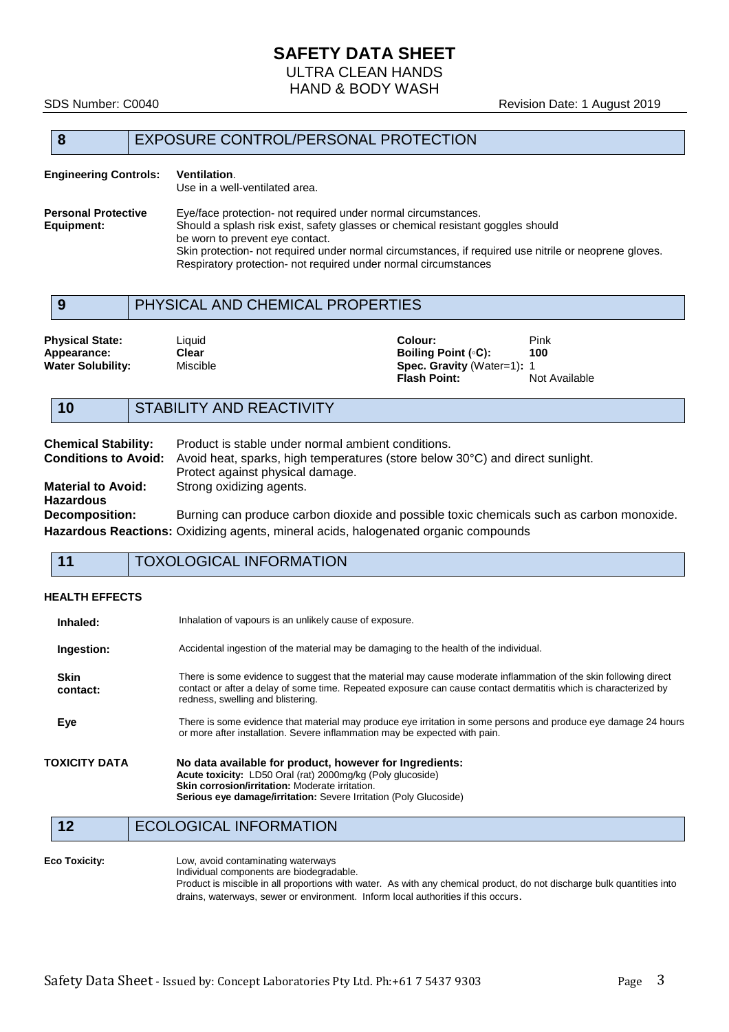# **SAFETY DATA SHEET**

ULTRA CLEAN HANDS HAND & BODY WASH

#### SDS Number: C0040 **Revision Date: 1 August 2019**

#### **8** EXPOSURE CONTROL/PERSONAL PROTECTION

#### **Engineering Controls: Ventilation**. Use in a well-ventilated area. **Personal Protective** Eye/face protection- not required under normal circumstances.<br> **Equipment:** Should a splash risk exist, safety glasses or chemical resistant Should a splash risk exist, safety glasses or chemical resistant goggles should be worn to prevent eye contact. Skin protection- not required under normal circumstances, if required use nitrile or neoprene gloves. Respiratory protection- not required under normal circumstances

#### **9** PHYSICAL AND CHEMICAL PROPERTIES

| <b>Physical State:</b>   | Liauid   | Colour:                           | Pink          |
|--------------------------|----------|-----------------------------------|---------------|
| Appearance:              | Clear    | Boiling Point (∘C):               | 100           |
| <b>Water Solubility:</b> | Miscible | <b>Spec. Gravity (Water=1): 1</b> |               |
|                          |          | <b>Flash Point:</b>               | Not Available |

#### **10** STABILITY AND REACTIVITY

| <b>Chemical Stability:</b>  | Product is stable under normal ambient conditions.                                         |
|-----------------------------|--------------------------------------------------------------------------------------------|
| <b>Conditions to Avoid:</b> | Avoid heat, sparks, high temperatures (store below 30°C) and direct sunlight.              |
|                             | Protect against physical damage.                                                           |
| <b>Material to Avoid:</b>   | Strong oxidizing agents.                                                                   |
| <b>Hazardous</b>            |                                                                                            |
| Decomposition:              | Burning can produce carbon dioxide and possible toxic chemicals such as carbon monoxide.   |
|                             | <b>Hazardous Reactions:</b> Oxidizing agents, mineral acids, halogenated organic compounds |

**11** TOXOLOGICAL INFORMATION

#### **HEALTH EFFECTS**

| Inhaled:                | Inhalation of vapours is an unlikely cause of exposure.                                                                                                                                                                                                                  |
|-------------------------|--------------------------------------------------------------------------------------------------------------------------------------------------------------------------------------------------------------------------------------------------------------------------|
| Ingestion:              | Accidental ingestion of the material may be damaging to the health of the individual.                                                                                                                                                                                    |
| <b>Skin</b><br>contact: | There is some evidence to suggest that the material may cause moderate inflammation of the skin following direct<br>contact or after a delay of some time. Repeated exposure can cause contact dermatitis which is characterized by<br>redness, swelling and blistering. |
| Eye                     | There is some evidence that material may produce eye irritation in some persons and produce eye damage 24 hours<br>or more after installation. Severe inflammation may be expected with pain.                                                                            |
| TOXICITY DATA           | No data available for product, however for Ingredients:<br>Acute toxicity: LD50 Oral (rat) 2000mg/kg (Poly glucoside)<br>Skin corrosion/irritation: Moderate irritation.<br><b>Serious eye damage/irritation:</b> Severe Irritation (Poly Glucoside)                     |

12 ECOLOGICAL INFORMATION

#### **Eco Toxicity:** Low, avoid contaminating waterways Individual components are biodegradable. Product is miscible in all proportions with water. As with any chemical product, do not discharge bulk quantities into drains, waterways, sewer or environment. Inform local authorities if this occurs.